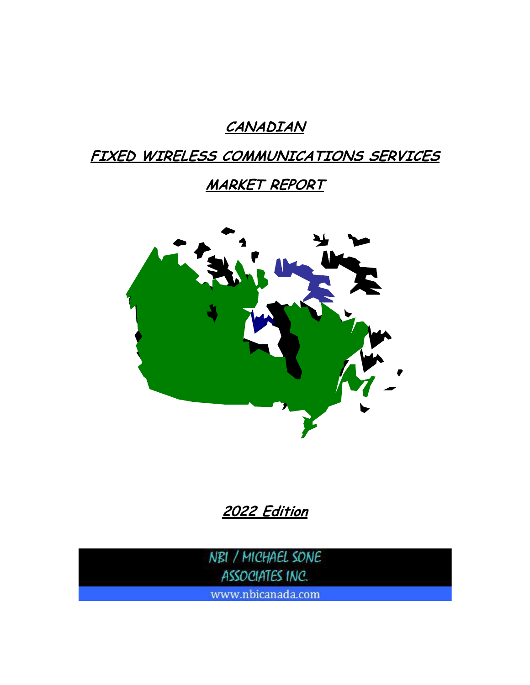# **CANADIAN**

## **FIXED WIRELESS COMMUNICATIONS SERVICES**

# **MARKET REPORT**



**2022 Edition**

NBI / MICHAEL SONE ASSOCIATES INC.

www.nbicanada.com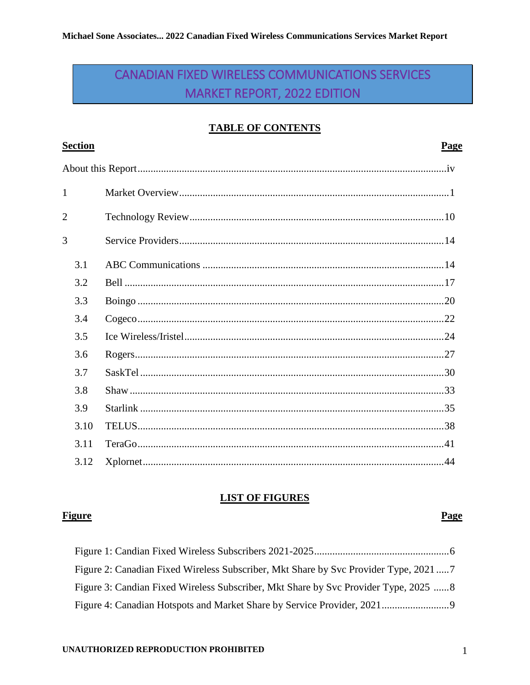### CANADIAN FIXED WIRELESS COMMUNICATIONS SERVICES MARKET REPORT, 2022 EDITION

### **TABLE OF CONTENTS**

| <b>Section</b> | <b>Page</b> |  |
|----------------|-------------|--|
|                |             |  |
| $\mathbf{1}$   |             |  |
| $\overline{2}$ |             |  |
| 3              |             |  |
| 3.1            |             |  |
| 3.2            |             |  |
| 3.3            |             |  |
| 3.4            |             |  |
| 3.5            |             |  |
| 3.6            |             |  |
| 3.7            |             |  |
| 3.8            |             |  |
| 3.9            |             |  |
| 3.10           |             |  |
| 3.11           |             |  |
| 3.12           |             |  |

### **LIST OF FIGURES**

### **Figure**

#### Page

| Figure 2: Canadian Fixed Wireless Subscriber, Mkt Share by Svc Provider Type, 20217  |  |
|--------------------------------------------------------------------------------------|--|
| Figure 3: Candian Fixed Wireless Subscriber, Mkt Share by Svc Provider Type, 2025  8 |  |
|                                                                                      |  |